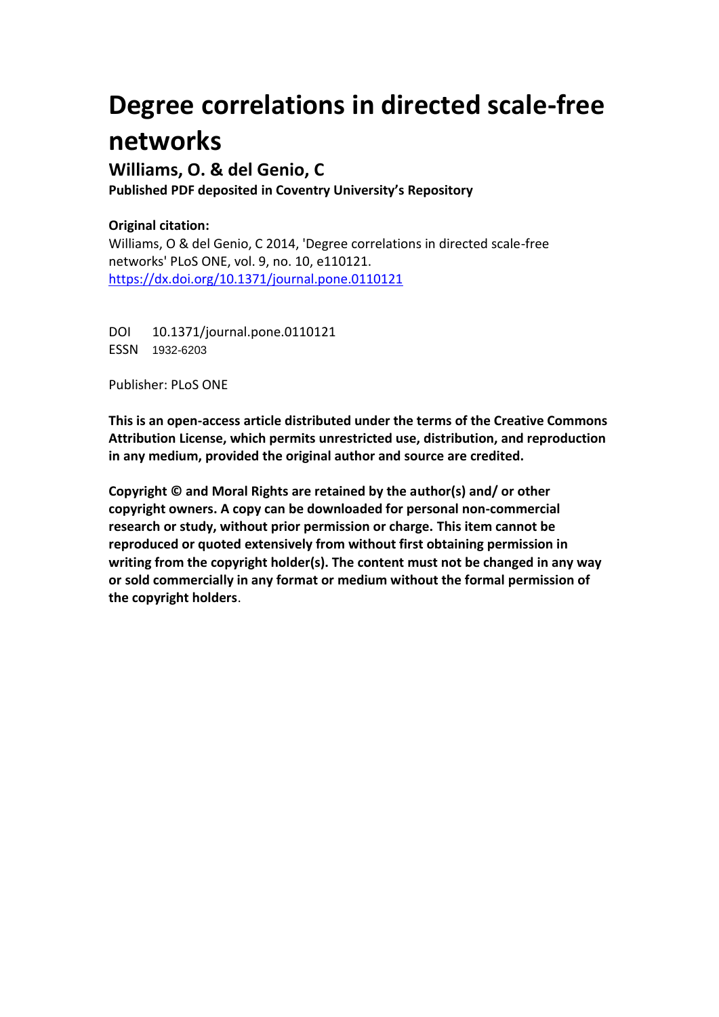# **Degree correlations in directed scale-free networks**

## **Williams, O. & del Genio, C**

**Published PDF deposited in Coventry University's Repository**

### **Original citation:**

Williams, O & del Genio, C 2014, 'Degree correlations in directed scale-free networks' PLoS ONE, vol. 9, no. 10, e110121. <https://dx.doi.org/10.1371/journal.pone.0110121>

DOI 10.1371/journal.pone.0110121 ESSN 1932-6203

Publisher: PLoS ONE

**This is an open-access article distributed under the terms of the Creative Commons Attribution License, which permits unrestricted use, distribution, and reproduction in any medium, provided the original author and source are credited.**

**Copyright © and Moral Rights are retained by the author(s) and/ or other copyright owners. A copy can be downloaded for personal non-commercial research or study, without prior permission or charge. This item cannot be reproduced or quoted extensively from without first obtaining permission in writing from the copyright holder(s). The content must not be changed in any way or sold commercially in any format or medium without the formal permission of the copyright holders**.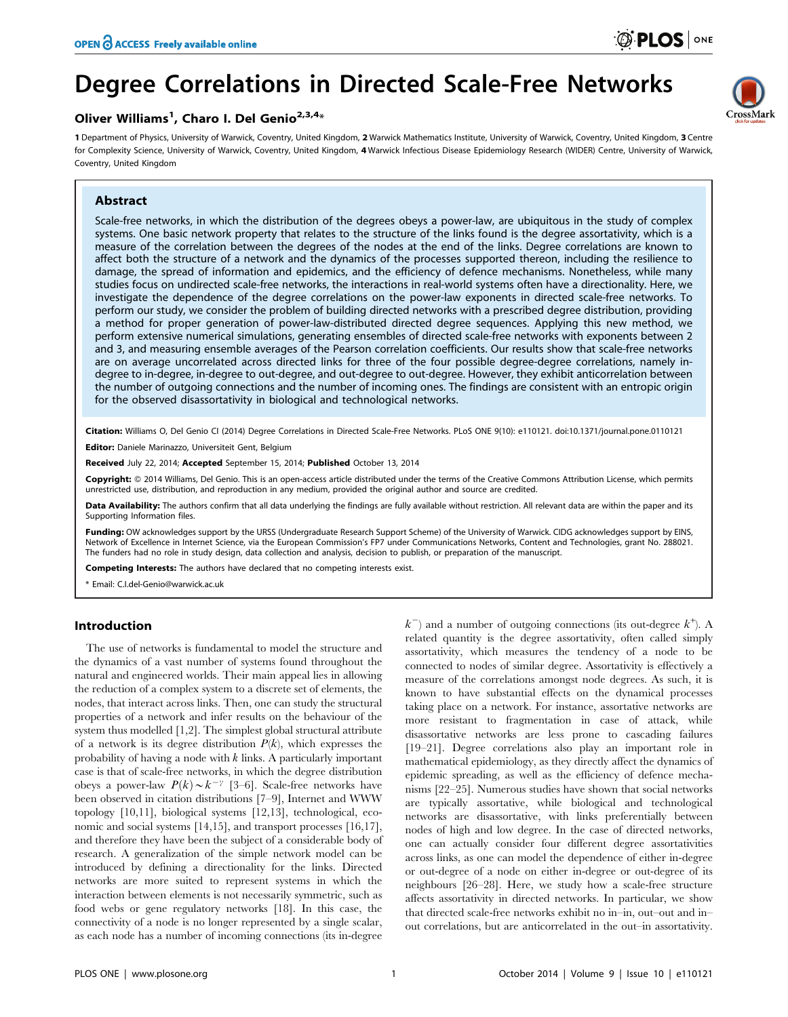# Degree Correlations in Directed Scale-Free Networks

### Oliver Williams<sup>1</sup>, Charo I. Del Genio<sup>2,3,4</sup>\*

1 Department of Physics, University of Warwick, Coventry, United Kingdom, 2 Warwick Mathematics Institute, University of Warwick, Coventry, United Kingdom, 3 Centre for Complexity Science, University of Warwick, Coventry, United Kingdom, 4 Warwick Infectious Disease Epidemiology Research (WIDER) Centre, University of Warwick, Coventry, United Kingdom

#### Abstract



Scale-free networks, in which the distribution of the degrees obeys a power-law, are ubiquitous in the study of complex systems. One basic network property that relates to the structure of the links found is the degree assortativity, which is a measure of the correlation between the degrees of the nodes at the end of the links. Degree correlations are known to affect both the structure of a network and the dynamics of the processes supported thereon, including the resilience to damage, the spread of information and epidemics, and the efficiency of defence mechanisms. Nonetheless, while many studies focus on undirected scale-free networks, the interactions in real-world systems often have a directionality. Here, we investigate the dependence of the degree correlations on the power-law exponents in directed scale-free networks. To perform our study, we consider the problem of building directed networks with a prescribed degree distribution, providing a method for proper generation of power-law-distributed directed degree sequences. Applying this new method, we perform extensive numerical simulations, generating ensembles of directed scale-free networks with exponents between 2 and 3, and measuring ensemble averages of the Pearson correlation coefficients. Our results show that scale-free networks are on average uncorrelated across directed links for three of the four possible degree-degree correlations, namely indegree to in-degree, in-degree to out-degree, and out-degree to out-degree. However, they exhibit anticorrelation between the number of outgoing connections and the number of incoming ones. The findings are consistent with an entropic origin for the observed disassortativity in biological and technological networks.

Citation: Williams O, Del Genio CI (2014) Degree Correlations in Directed Scale-Free Networks. PLoS ONE 9(10): e110121. doi:10.1371/journal.pone.0110121 Editor: Daniele Marinazzo, Universiteit Gent, Belgium

Received July 22, 2014; Accepted September 15, 2014; Published October 13, 2014

Copyright: © 2014 Williams, Del Genio. This is an open-access article distributed under the terms of the [Creative Commons Attribution License](http://creativecommons.org/licenses/by/4.0/), which permits unrestricted use, distribution, and reproduction in any medium, provided the original author and source are credited.

Data Availability: The authors confirm that all data underlying the findings are fully available without restriction. All relevant data are within the paper and its Supporting Information files.

Funding: OW acknowledges support by the URSS (Undergraduate Research Support Scheme) of the University of Warwick. CIDG acknowledges support by EINS, Network of Excellence in Internet Science, via the European Commission's FP7 under Communications Networks, Content and Technologies, grant No. 288021. The funders had no role in study design, data collection and analysis, decision to publish, or preparation of the manuscript.

Competing Interests: The authors have declared that no competing interests exist.

\* Email: C.I.del-Genio@warwick.ac.uk

#### Introduction

The use of networks is fundamental to model the structure and the dynamics of a vast number of systems found throughout the natural and engineered worlds. Their main appeal lies in allowing the reduction of a complex system to a discrete set of elements, the nodes, that interact across links. Then, one can study the structural properties of a network and infer results on the behaviour of the system thus modelled [1,2]. The simplest global structural attribute of a network is its degree distribution  $P(k)$ , which expresses the probability of having a node with  $k$  links. A particularly important case is that of scale-free networks, in which the degree distribution obeys a power-law  $P(k) \sim k^{-\gamma}$  [3–6]. Scale-free networks have been observed in citation distributions [7–9], Internet and WWW topology [10,11], biological systems [12,13], technological, economic and social systems [14,15], and transport processes [16,17], and therefore they have been the subject of a considerable body of research. A generalization of the simple network model can be introduced by defining a directionality for the links. Directed networks are more suited to represent systems in which the interaction between elements is not necessarily symmetric, such as food webs or gene regulatory networks [18]. In this case, the connectivity of a node is no longer represented by a single scalar, as each node has a number of incoming connections (its in-degree

 $k^{-}$ ) and a number of outgoing connections (its out-degree  $k^{+}$ ). A related quantity is the degree assortativity, often called simply assortativity, which measures the tendency of a node to be connected to nodes of similar degree. Assortativity is effectively a measure of the correlations amongst node degrees. As such, it is known to have substantial effects on the dynamical processes taking place on a network. For instance, assortative networks are more resistant to fragmentation in case of attack, while disassortative networks are less prone to cascading failures [19–21]. Degree correlations also play an important role in mathematical epidemiology, as they directly affect the dynamics of epidemic spreading, as well as the efficiency of defence mechanisms [22–25]. Numerous studies have shown that social networks are typically assortative, while biological and technological networks are disassortative, with links preferentially between nodes of high and low degree. In the case of directed networks, one can actually consider four different degree assortativities across links, as one can model the dependence of either in-degree or out-degree of a node on either in-degree or out-degree of its neighbours [26–28]. Here, we study how a scale-free structure affects assortativity in directed networks. In particular, we show that directed scale-free networks exhibit no in–in, out–out and in– out correlations, but are anticorrelated in the out–in assortativity.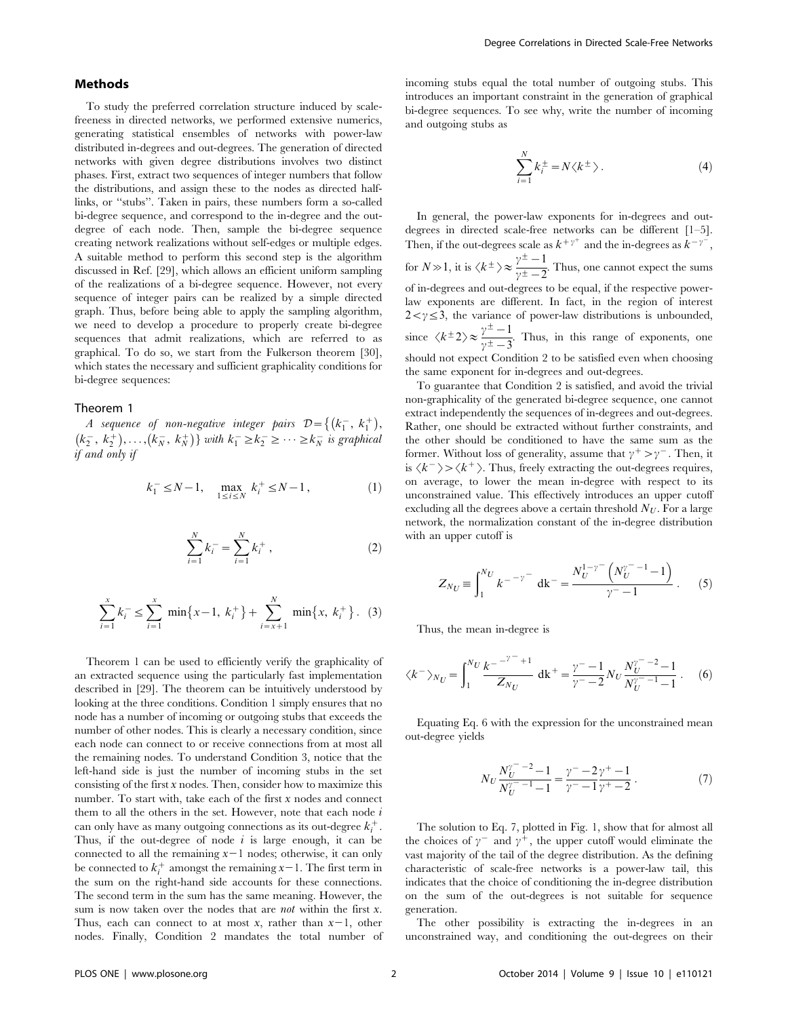#### Methods

To study the preferred correlation structure induced by scalefreeness in directed networks, we performed extensive numerics, generating statistical ensembles of networks with power-law distributed in-degrees and out-degrees. The generation of directed networks with given degree distributions involves two distinct phases. First, extract two sequences of integer numbers that follow the distributions, and assign these to the nodes as directed halflinks, or ''stubs''. Taken in pairs, these numbers form a so-called bi-degree sequence, and correspond to the in-degree and the outdegree of each node. Then, sample the bi-degree sequence creating network realizations without self-edges or multiple edges. A suitable method to perform this second step is the algorithm discussed in Ref. [29], which allows an efficient uniform sampling of the realizations of a bi-degree sequence. However, not every sequence of integer pairs can be realized by a simple directed graph. Thus, before being able to apply the sampling algorithm, we need to develop a procedure to properly create bi-degree sequences that admit realizations, which are referred to as graphical. To do so, we start from the Fulkerson theorem [30], which states the necessary and sufficient graphicality conditions for bi-degree sequences:

#### Theorem 1

A sequence of non-negative integer pairs  $\mathcal{D} = \{ (k_1^-, k_1^+) ,$  $(k_2^-, k_2^+), \ldots, (k_N^-, k_N^+)\}$  with  $k_1^- \ge k_2^- \ge \cdots \ge k_N^-$  is graphical if and only if

$$
k_1^- \le N - 1, \quad \max_{1 \le i \le N} k_i^+ \le N - 1, \tag{1}
$$

$$
\sum_{i=1}^{N} k_i^- = \sum_{i=1}^{N} k_i^+, \qquad (2)
$$

$$
\sum_{i=1}^{x} k_i^{-} \le \sum_{i=1}^{x} \min\{x-1, k_i^{+}\} + \sum_{i=x+1}^{N} \min\{x, k_i^{+}\}.
$$
 (3)

Theorem 1 can be used to efficiently verify the graphicality of an extracted sequence using the particularly fast implementation described in [29]. The theorem can be intuitively understood by looking at the three conditions. Condition 1 simply ensures that no node has a number of incoming or outgoing stubs that exceeds the number of other nodes. This is clearly a necessary condition, since each node can connect to or receive connections from at most all the remaining nodes. To understand Condition 3, notice that the left-hand side is just the number of incoming stubs in the set consisting of the first  $x$  nodes. Then, consider how to maximize this number. To start with, take each of the first  $x$  nodes and connect them to all the others in the set. However, note that each node  $i$ can only have as many outgoing connections as its out-degree  $k_i^+$ . Thus, if the out-degree of node  $i$  is large enough, it can be connected to all the remaining  $x-1$  nodes; otherwise, it can only be connected to  $k_i^+$  amongst the remaining  $x-1$ . The first term in the sum on the right-hand side accounts for these connections. The second term in the sum has the same meaning. However, the sum is now taken over the nodes that are *not* within the first  $x$ . Thus, each can connect to at most x, rather than  $x-1$ , other nodes. Finally, Condition 2 mandates the total number of incoming stubs equal the total number of outgoing stubs. This introduces an important constraint in the generation of graphical bi-degree sequences. To see why, write the number of incoming and outgoing stubs as

$$
\sum_{i=1}^{N} k_i^{\pm} = N \langle k^{\pm} \rangle.
$$
 (4)

In general, the power-law exponents for in-degrees and outdegrees in directed scale-free networks can be different [1–5]. Then, if the out-degrees scale as  $k^{+\gamma^+}$  and the in-degrees as  $k^{-\gamma^-}$ , for  $N \gg 1$ , it is  $\langle k^{\pm} \rangle \approx \frac{\gamma^{\pm} - 1}{\gamma^{\pm} - 2}$ . Thus, one cannot expect the sums of in-degrees and out-degrees to be equal, if the respective powerlaw exponents are different. In fact, in the region of interest  $2 < \gamma \leq 3$ , the variance of power-law distributions is unbounded, since  $\langle k^{\pm} 2 \rangle \approx \frac{\gamma^{\pm} - 1}{\gamma^{\pm} - 3}$ . Thus, in this range of exponents, one should not expect Condition 2 to be satisfied even when choosing the same exponent for in-degrees and out-degrees.

To guarantee that Condition 2 is satisfied, and avoid the trivial non-graphicality of the generated bi-degree sequence, one cannot extract independently the sequences of in-degrees and out-degrees. Rather, one should be extracted without further constraints, and the other should be conditioned to have the same sum as the former. Without loss of generality, assume that  $\gamma^+ > \gamma^-$ . Then, it is  $\langle k^{-} \rangle$  >  $\langle k^{+} \rangle$ . Thus, freely extracting the out-degrees requires, on average, to lower the mean in-degree with respect to its unconstrained value. This effectively introduces an upper cutoff excluding all the degrees above a certain threshold  $N_U$ . For a large network, the normalization constant of the in-degree distribution with an upper cutoff is

$$
Z_{N_U} \equiv \int_1^{N_U} k^{-\nu} d\mathbf{k}^- = \frac{N_U^{1-\nu} \left( N_U^{\nu} - 1 - 1 \right)}{\nu - 1} . \tag{5}
$$

Thus, the mean in-degree is

$$
\langle k^{-} \rangle_{N_U} = \int_1^{N_U} \frac{k^{-\nu} - 1}{Z_{N_U}} \, \mathrm{d}k + \frac{\gamma - 1}{\gamma - 2} N_U \frac{N_U^{\gamma - 2} - 1}{N_U^{\gamma - 1} - 1} \,. \tag{6}
$$

Equating Eq. 6 with the expression for the unconstrained mean out-degree yields

$$
N_U \frac{N_U^{\gamma^- - 2} - 1}{N_U^{\gamma^- - 1} - 1} = \frac{\gamma^- - 2\gamma^+ - 1}{\gamma^- - 1\gamma^+ - 2} \,. \tag{7}
$$

The solution to Eq. 7, plotted in Fig. 1, show that for almost all the choices of  $\gamma$ <sup>-</sup> and  $\gamma$ <sup>+</sup>, the upper cutoff would eliminate the vast majority of the tail of the degree distribution. As the defining characteristic of scale-free networks is a power-law tail, this indicates that the choice of conditioning the in-degree distribution on the sum of the out-degrees is not suitable for sequence generation.

The other possibility is extracting the in-degrees in an unconstrained way, and conditioning the out-degrees on their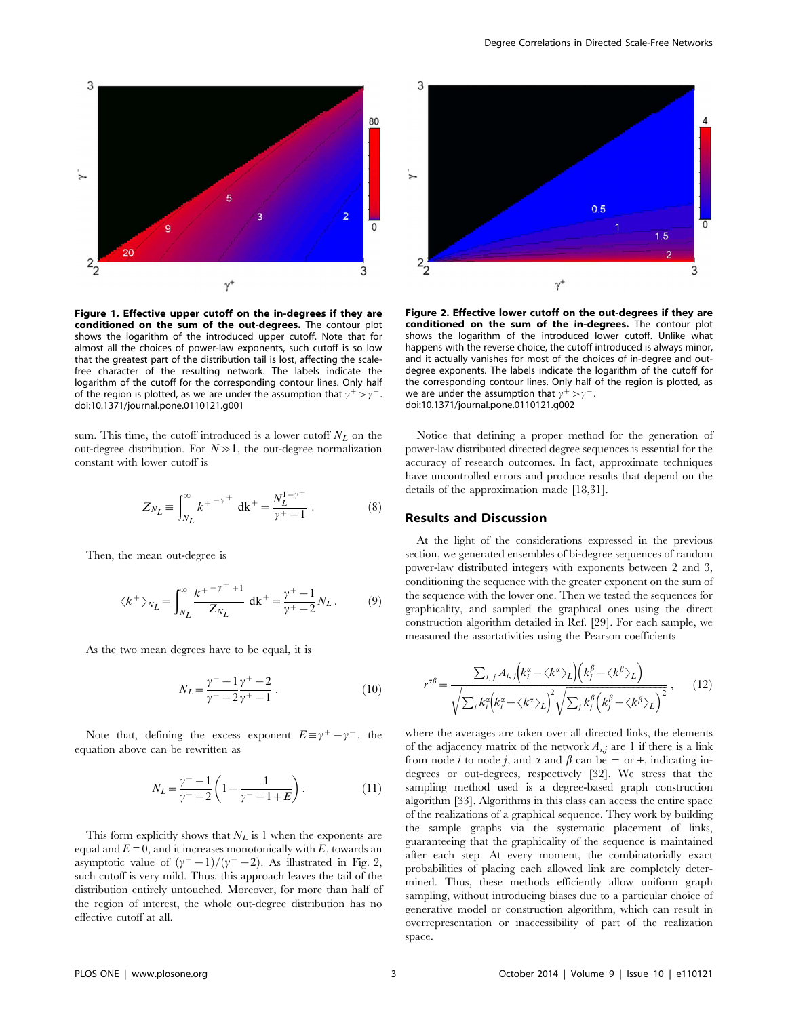

Figure 1. Effective upper cutoff on the in-degrees if they are conditioned on the sum of the out-degrees. The contour plot shows the logarithm of the introduced upper cutoff. Note that for almost all the choices of power-law exponents, such cutoff is so low that the greatest part of the distribution tail is lost, affecting the scalefree character of the resulting network. The labels indicate the logarithm of the cutoff for the corresponding contour lines. Only half of the region is plotted, as we are under the assumption that  $\gamma^+ > \gamma^-$ . doi:10.1371/journal.pone.0110121.g001

sum. This time, the cutoff introduced is a lower cutoff  $N_L$  on the out-degree distribution. For  $N \gg 1$ , the out-degree normalization constant with lower cutoff is

$$
Z_{N_L} \equiv \int_{N_L}^{\infty} k^{+}{^{-\gamma}}^{+} dk^{+} = \frac{N_L^{1-\gamma}}{\gamma^+ - 1}.
$$
 (8)

Then, the mean out-degree is

$$
\langle k^+ \rangle_{N_L} = \int_{N_L}^{\infty} \frac{k^{+-\gamma^++1}}{Z_{N_L}} \, \mathrm{d}k^+ = \frac{\gamma^+-1}{\gamma^+-2} N_L \,. \tag{9}
$$

As the two mean degrees have to be equal, it is

$$
N_L = \frac{\gamma^- - 1}{\gamma^- - 2\gamma^+ - 1} \,. \tag{10}
$$

Note that, defining the excess exponent  $E \equiv \gamma^+ - \gamma^-$ , the equation above can be rewritten as

$$
N_L = \frac{\gamma^- - 1}{\gamma^- - 2} \left( 1 - \frac{1}{\gamma^- - 1 + E} \right). \tag{11}
$$

This form explicitly shows that  $N_L$  is 1 when the exponents are equal and  $E = 0$ , and it increases monotonically with  $E$ , towards an asymptotic value of  $({\gamma}^- - 1)/({\gamma}^- - 2)$ . As illustrated in Fig. 2, such cutoff is very mild. Thus, this approach leaves the tail of the distribution entirely untouched. Moreover, for more than half of the region of interest, the whole out-degree distribution has no effective cutoff at all.



Figure 2. Effective lower cutoff on the out-degrees if they are conditioned on the sum of the in-degrees. The contour plot shows the logarithm of the introduced lower cutoff. Unlike what happens with the reverse choice, the cutoff introduced is always minor, and it actually vanishes for most of the choices of in-degree and outdegree exponents. The labels indicate the logarithm of the cutoff for the corresponding contour lines. Only half of the region is plotted, as we are under the assumption that  $\gamma^+ > \gamma^-$ . doi:10.1371/journal.pone.0110121.g002

Notice that defining a proper method for the generation of power-law distributed directed degree sequences is essential for the accuracy of research outcomes. In fact, approximate techniques have uncontrolled errors and produce results that depend on the details of the approximation made [18,31].

#### Results and Discussion

At the light of the considerations expressed in the previous section, we generated ensembles of bi-degree sequences of random power-law distributed integers with exponents between 2 and 3, conditioning the sequence with the greater exponent on the sum of the sequence with the lower one. Then we tested the sequences for graphicality, and sampled the graphical ones using the direct construction algorithm detailed in Ref. [29]. For each sample, we measured the assortativities using the Pearson coefficients

$$
r^{\alpha\beta} = \frac{\sum_{i,j} A_{i,j} (k_i^{\alpha} - \langle k^{\alpha} \rangle_L) (k_j^{\beta} - \langle k^{\beta} \rangle_L)}{\sqrt{\sum_i k_i^{\alpha} (k_i^{\alpha} - \langle k^{\alpha} \rangle_L)^2} \sqrt{\sum_j k_j^{\beta} (k_j^{\beta} - \langle k^{\beta} \rangle_L)^2}},
$$
(12)

where the averages are taken over all directed links, the elements of the adjacency matrix of the network  $A_{i,j}$  are 1 if there is a link from node i to node j, and  $\alpha$  and  $\beta$  can be - or +, indicating indegrees or out-degrees, respectively [32]. We stress that the sampling method used is a degree-based graph construction algorithm [33]. Algorithms in this class can access the entire space of the realizations of a graphical sequence. They work by building the sample graphs via the systematic placement of links, guaranteeing that the graphicality of the sequence is maintained after each step. At every moment, the combinatorially exact probabilities of placing each allowed link are completely determined. Thus, these methods efficiently allow uniform graph sampling, without introducing biases due to a particular choice of generative model or construction algorithm, which can result in overrepresentation or inaccessibility of part of the realization space.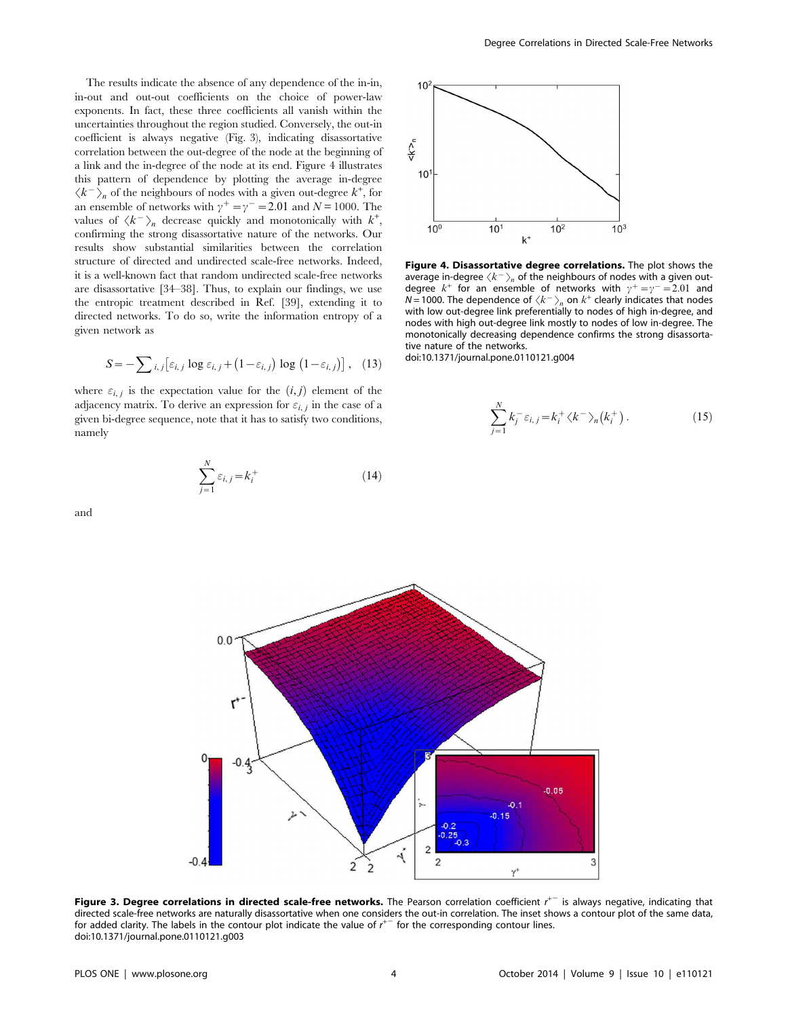The results indicate the absence of any dependence of the in-in, in-out and out-out coefficients on the choice of power-law exponents. In fact, these three coefficients all vanish within the uncertainties throughout the region studied. Conversely, the out-in coefficient is always negative (Fig. 3), indicating disassortative correlation between the out-degree of the node at the beginning of a link and the in-degree of the node at its end. Figure 4 illustrates this pattern of dependence by plotting the average in-degree  $\langle k^{-} \rangle_{n}$  of the neighbours of nodes with a given out-degree  $k^{+}$ , for an ensemble of networks with  $\gamma^{+} = \gamma^{-} = 2.01$  and  $N = 1000$ . The values of  $\langle k^{-} \rangle_{n}$  decrease quickly and monotonically with  $k^{+}$ , confirming the strong disassortative nature of the networks. Our results show substantial similarities between the correlation structure of directed and undirected scale-free networks. Indeed, it is a well-known fact that random undirected scale-free networks are disassortative [34–38]. Thus, to explain our findings, we use the entropic treatment described in Ref. [39], extending it to directed networks. To do so, write the information entropy of a given network as

$$
S = -\sum_{i,j} \left[ \varepsilon_{i,j} \log \varepsilon_{i,j} + (1 - \varepsilon_{i,j}) \log (1 - \varepsilon_{i,j}) \right], \quad (13)
$$

where  $\varepsilon_{i,j}$  is the expectation value for the  $(i, j)$  element of the adjacency matrix. To derive an expression for  $\varepsilon_{i,j}$  in the case of a given bi-degree sequence, note that it has to satisfy two conditions, namely

$$
\sum_{j=1}^{N} \varepsilon_{i,j} = k_i^+ \tag{14}
$$



Figure 4. Disassortative degree correlations. The plot shows the average in-degree  $\langle k^{-} \rangle_{n}$  of the neighbours of nodes with a given outdegree  $k^{+}$  for an ensemble of networks with  $\gamma^{+} = \gamma^{-} = 2.01$  and  $N = 1000$ . The dependence of  $\langle k^{-} \rangle_n$  on  $k^{+}$  clearly indicates that nodes with low out-degree link preferentially to nodes of high in-degree, and nodes with high out-degree link mostly to nodes of low in-degree. The monotonically decreasing dependence confirms the strong disassortative nature of the networks.

doi:10.1371/journal.pone.0110121.g004

$$
\sum_{j=1}^{N} k_j^- \varepsilon_{i,j} = k_i^+ \langle k^- \rangle_n (k_i^+) \,. \tag{15}
$$

and



Figure 3. Degree correlations in directed scale-free networks. The Pearson correlation coefficient  $r^{+-}$  is always negative, indicating that directed scale-free networks are naturally disassortative when one considers the out-in correlation. The inset shows a contour plot of the same data, for added clarity. The labels in the contour plot indicate the value of  $r^{+-}$  for the corresponding contour lines. doi:10.1371/journal.pone.0110121.g003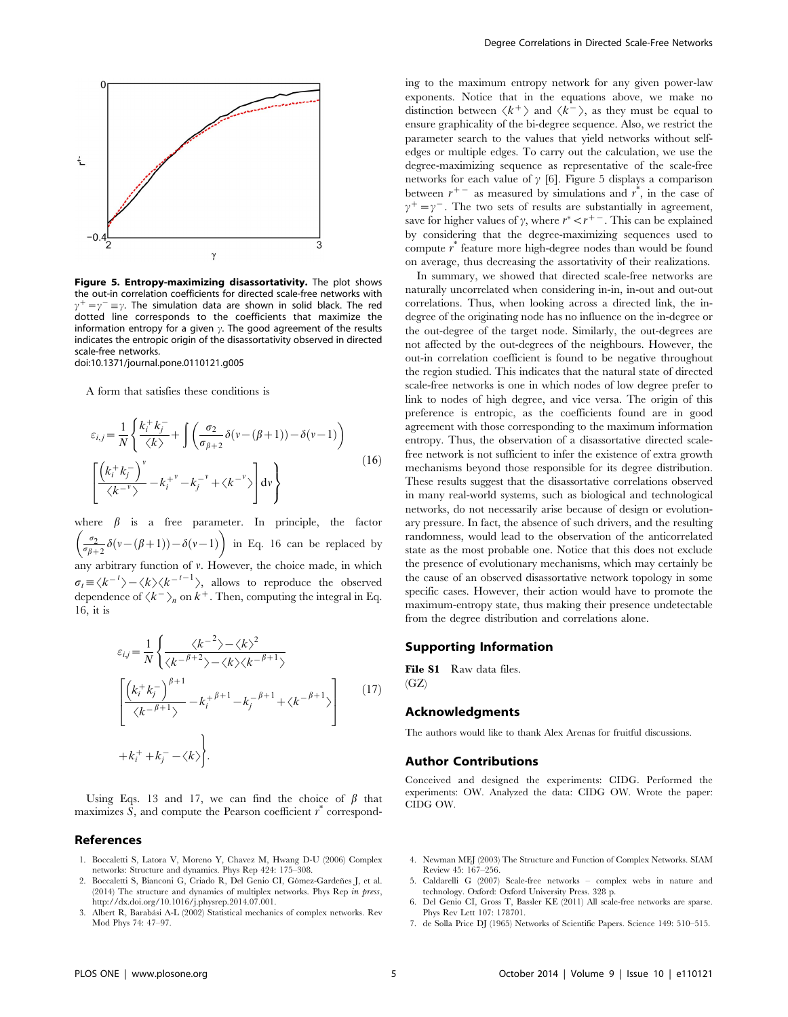

Figure 5. Entropy-maximizing disassortativity. The plot shows the out-in correlation coefficients for directed scale-free networks with  $\gamma^{+} = \gamma^{-} \equiv \gamma$ . The simulation data are shown in solid black. The red dotted line corresponds to the coefficients that maximize the information entropy for a given  $\gamma$ . The good agreement of the results indicates the entropic origin of the disassortativity observed in directed scale-free networks.

doi:10.1371/journal.pone.0110121.g005

A form that satisfies these conditions is

$$
\varepsilon_{i,j} = \frac{1}{N} \left\{ \frac{k_i^+ k_j^-}{\langle k \rangle} + \int \left( \frac{\sigma_2}{\sigma_{\beta+2}} \delta(\nu - (\beta + 1)) - \delta(\nu - 1) \right) \right\}
$$
\n
$$
\left[ \frac{\left( k_i^+ k_j^- \right)^{\nu}}{\langle k^{-\nu} \rangle} - k_i^{+ \nu} - k_j^{- \nu} + \langle k^{-\nu} \rangle \right] dv \right\}
$$
\n(16)

where  $\beta$  is a free parameter. In principle, the factor  $\frac{\sigma_2}{\sigma_{\beta+2}} \delta(v-(\beta+1)) - \delta(v-1)$  $\left($ in Eq. 16 can be replaced by any arbitrary function of  $\nu$ . However, the choice made, in which  $\sigma_t \equiv \langle k^{-t} \rangle - \langle k \rangle \langle k^{-t-1} \rangle$ , allows to reproduce the observed dependence of  $\langle k^{-} \rangle_{n}$  on  $k^{+}$ . Then, computing the integral in Eq. 16, it is

$$
\varepsilon_{ij} = \frac{1}{N} \left\{ \frac{\langle k^{-2} \rangle - \langle k \rangle^2}{\langle k^{-\beta+2} \rangle - \langle k \rangle \langle k^{-\beta+1} \rangle} \right\}
$$
\n
$$
\left[ \frac{\left(k_i^+ k_j^-\right)^{\beta+1}}{\langle k^{-\beta+1} \rangle} - k_i^{+\beta+1} - k_j^{-\beta+1} + \langle k^{-\beta+1} \rangle \right]
$$
\n
$$
+ k_i^+ + k_j^- - \langle k \rangle.
$$
\n(17)

Using Eqs. 13 and 17, we can find the choice of  $\beta$  that maximizes  $\hat{S}$ , and compute the Pearson coefficient  $\hat{r}$  correspond-

#### References

- 1. Boccaletti S, Latora V, Moreno Y, Chavez M, Hwang D-U (2006) Complex networks: Structure and dynamics. Phys Rep 424: 175–308.
- 2. Boccaletti S, Bianconi G, Criado R, Del Genio CI, Gómez-Gardeñes J, et al. (2014) The structure and dynamics of multiplex networks. Phys Rep in press, <http://dx.doi.org/10.1016/j.physrep.2014.07.001>.
- 3. Albert R, Barabási A-L (2002) Statistical mechanics of complex networks. Rev Mod Phys 74: 47–97.

ing to the maximum entropy network for any given power-law exponents. Notice that in the equations above, we make no distinction between  $\langle k^{+} \rangle$  and  $\langle k^{-} \rangle$ , as they must be equal to ensure graphicality of the bi-degree sequence. Also, we restrict the parameter search to the values that yield networks without selfedges or multiple edges. To carry out the calculation, we use the degree-maximizing sequence as representative of the scale-free networks for each value of  $\gamma$  [6]. Figure 5 displays a comparison between  $r^{+-}$  as measured by simulations and  $r^*$ , in the case of  $v^{+} = v^{-}$ . The two sets of results are substantially in agreement, save for higher values of  $\gamma$ , where  $r^* < r^{+-}$ . This can be explained by considering that the degree-maximizing sequences used to compute r \* feature more high-degree nodes than would be found on average, thus decreasing the assortativity of their realizations.

In summary, we showed that directed scale-free networks are naturally uncorrelated when considering in-in, in-out and out-out correlations. Thus, when looking across a directed link, the indegree of the originating node has no influence on the in-degree or the out-degree of the target node. Similarly, the out-degrees are not affected by the out-degrees of the neighbours. However, the out-in correlation coefficient is found to be negative throughout the region studied. This indicates that the natural state of directed scale-free networks is one in which nodes of low degree prefer to link to nodes of high degree, and vice versa. The origin of this preference is entropic, as the coefficients found are in good agreement with those corresponding to the maximum information entropy. Thus, the observation of a disassortative directed scalefree network is not sufficient to infer the existence of extra growth mechanisms beyond those responsible for its degree distribution. These results suggest that the disassortative correlations observed in many real-world systems, such as biological and technological networks, do not necessarily arise because of design or evolutionary pressure. In fact, the absence of such drivers, and the resulting randomness, would lead to the observation of the anticorrelated state as the most probable one. Notice that this does not exclude the presence of evolutionary mechanisms, which may certainly be the cause of an observed disassortative network topology in some specific cases. However, their action would have to promote the maximum-entropy state, thus making their presence undetectable from the degree distribution and correlations alone.

#### Supporting Information

File S1 Raw data files.  $(GZ)$ 

#### Acknowledgments

The authors would like to thank Alex Arenas for fruitful discussions.

#### Author Contributions

Conceived and designed the experiments: CIDG. Performed the experiments: OW. Analyzed the data: CIDG OW. Wrote the paper: CIDG OW.

- 4. Newman MEJ (2003) The Structure and Function of Complex Networks. SIAM Review 45: 167–256.
- 5. Caldarelli G (2007) Scale-free networks complex webs in nature and technology. Oxford: Oxford University Press. 328 p.
- 6. Del Genio CI, Gross T, Bassler KE (2011) All scale-free networks are sparse. Phys Rev Lett 107: 178701.
- 7. de Solla Price DJ (1965) Networks of Scientific Papers. Science 149: 510–515.